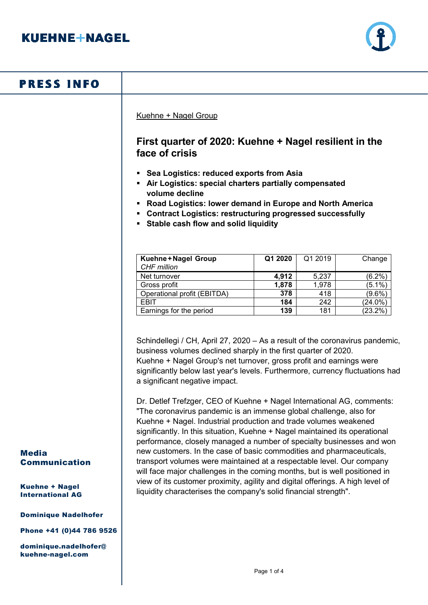

# **PRESS INFO**

Kuehne + Nagel Group

# **First quarter of 2020: Kuehne + Nagel resilient in the face of crisis**

- **Sea Logistics: reduced exports from Asia**
- **Air Logistics: special charters partially compensated volume decline**
- **Road Logistics: lower demand in Europe and North America**
- **Contract Logistics: restructuring progressed successfully**
- **Stable cash flow and solid liquidity**

| Kuehne+Nagel Group<br><b>CHF</b> million | Q1 2020 | Q1 2019 | Change     |
|------------------------------------------|---------|---------|------------|
| Net turnover                             | 4,912   | 5,237   | $(6.2\%)$  |
| Gross profit                             | 1,878   | 1,978   | (5.1%      |
| Operational profit (EBITDA)              | 378     | 418     | $(9.6\%)$  |
| <b>EBIT</b>                              | 184     | 242     | (24.0%)    |
| Earnings for the period                  | 139     | 181     | $(23.2\%)$ |

Schindellegi / CH, April 27, 2020 – As a result of the coronavirus pandemic, business volumes declined sharply in the first quarter of 2020. Kuehne + Nagel Group's net turnover, gross profit and earnings were significantly below last year's levels. Furthermore, currency fluctuations had a significant negative impact.

Dr. Detlef Trefzger, CEO of Kuehne + Nagel International AG, comments: "The coronavirus pandemic is an immense global challenge, also for Kuehne + Nagel. Industrial production and trade volumes weakened significantly. In this situation, Kuehne + Nagel maintained its operational performance, closely managed a number of specialty businesses and won new customers. In the case of basic commodities and pharmaceuticals, transport volumes were maintained at a respectable level. Our company will face major challenges in the coming months, but is well positioned in view of its customer proximity, agility and digital offerings. A high level of liquidity characterises the company's solid financial strength".

#### Media Communication

Kuehne + Nagel International AG

#### Dominique Nadelhofer

Phone +41 (0)44 786 9526

dominique.nadelhofer@ kuehne-nagel.com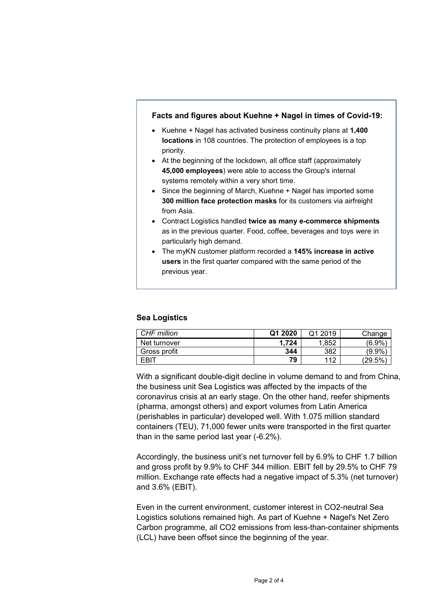# **Facts and figures about Kuehne + Nagel in times of Covid-19:** • Kuehne + Nagel has activated business continuity plans at **1,400 locations** in 108 countries. The protection of employees is a top priority. • At the beginning of the lockdown, all office staff (approximately **45,000 employees**) were able to access the Group's internal systems remotely within a very short time. • Since the beginning of March, Kuehne + Nagel has imported some **300 million face protection masks** for its customers via airfreight from Asia. • Contract Logistics handled **twice as many e-commerce shipments** as in the previous quarter. Food, coffee, beverages and toys were in particularly high demand. • The myKN customer platform recorded a **145% increase in active users** in the first quarter compared with the same period of the previous year.

### **Sea Logistics**

| CHF million  | Q1 2020 | Q1<br>2019 | Change    |
|--------------|---------|------------|-----------|
| Net turnover | .724    | 1.852      | $(6.9\%$  |
| Gross profit | 344     | 382        | (9.9%     |
| <b>FRIT</b>  | 79      | 112        | $'29.5\%$ |

With a significant double-digit decline in volume demand to and from China, the business unit Sea Logistics was affected by the impacts of the coronavirus crisis at an early stage. On the other hand, reefer shipments (pharma, amongst others) and export volumes from Latin America (perishables in particular) developed well. With 1.075 million standard containers (TEU), 71,000 fewer units were transported in the first quarter than in the same period last year (-6.2%).

Accordingly, the business unit's net turnover fell by 6.9% to CHF 1.7 billion and gross profit by 9.9% to CHF 344 million. EBIT fell by 29.5% to CHF 79 million. Exchange rate effects had a negative impact of 5.3% (net turnover) and 3.6% (EBIT).

Even in the current environment, customer interest in CO2-neutral Sea Logistics solutions remained high. As part of Kuehne + Nagel's Net Zero Carbon programme, all CO2 emissions from less-than-container shipments (LCL) have been offset since the beginning of the year.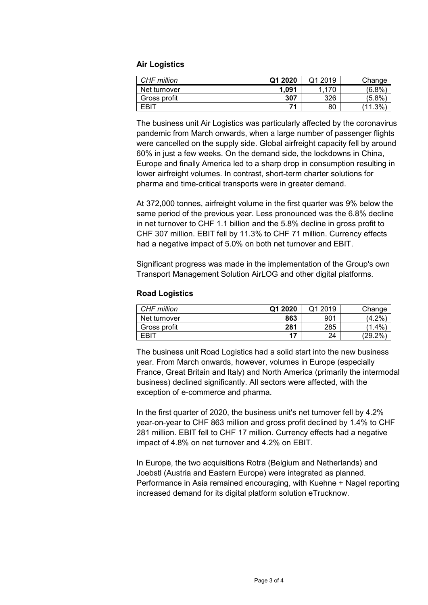### **Air Logistics**

| CHF million  | Q1 2020 | Q1 2019 | Change       |
|--------------|---------|---------|--------------|
| Net turnover | 1,091   | .170    | (6.8%        |
| Gross profit | 307     | 326     | $5.8\%$      |
| <b>FRIT</b>  | 71      | 80      | $.3\%$<br>11 |

The business unit Air Logistics was particularly affected by the coronavirus pandemic from March onwards, when a large number of passenger flights were cancelled on the supply side. Global airfreight capacity fell by around 60% in just a few weeks. On the demand side, the lockdowns in China, Europe and finally America led to a sharp drop in consumption resulting in lower airfreight volumes. In contrast, short-term charter solutions for pharma and time-critical transports were in greater demand.

At 372,000 tonnes, airfreight volume in the first quarter was 9% below the same period of the previous year. Less pronounced was the 6.8% decline in net turnover to CHF 1.1 billion and the 5.8% decline in gross profit to CHF 307 million. EBIT fell by 11.3% to CHF 71 million. Currency effects had a negative impact of 5.0% on both net turnover and EBIT.

Significant progress was made in the implementation of the Group's own Transport Management Solution AirLOG and other digital platforms.

### **Road Logistics**

| CHF million      | Q1 2020 | Q1 2019 | Change            |
|------------------|---------|---------|-------------------|
| Net turnover     | 863     | 901     | .2%<br>4.2        |
| Gross profit     | 281     | 285     | $^{\prime}$ 1.4%, |
| FBI <sup>7</sup> | 17      | 24      | $'29.2\%$         |

The business unit Road Logistics had a solid start into the new business year. From March onwards, however, volumes in Europe (especially France, Great Britain and Italy) and North America (primarily the intermodal business) declined significantly. All sectors were affected, with the exception of e-commerce and pharma.

In the first quarter of 2020, the business unit's net turnover fell by 4.2% year-on-year to CHF 863 million and gross profit declined by 1.4% to CHF 281 million. EBIT fell to CHF 17 million. Currency effects had a negative impact of 4.8% on net turnover and 4.2% on EBIT.

In Europe, the two acquisitions Rotra (Belgium and Netherlands) and Joebstl (Austria and Eastern Europe) were integrated as planned. Performance in Asia remained encouraging, with Kuehne + Nagel reporting increased demand for its digital platform solution eTrucknow.